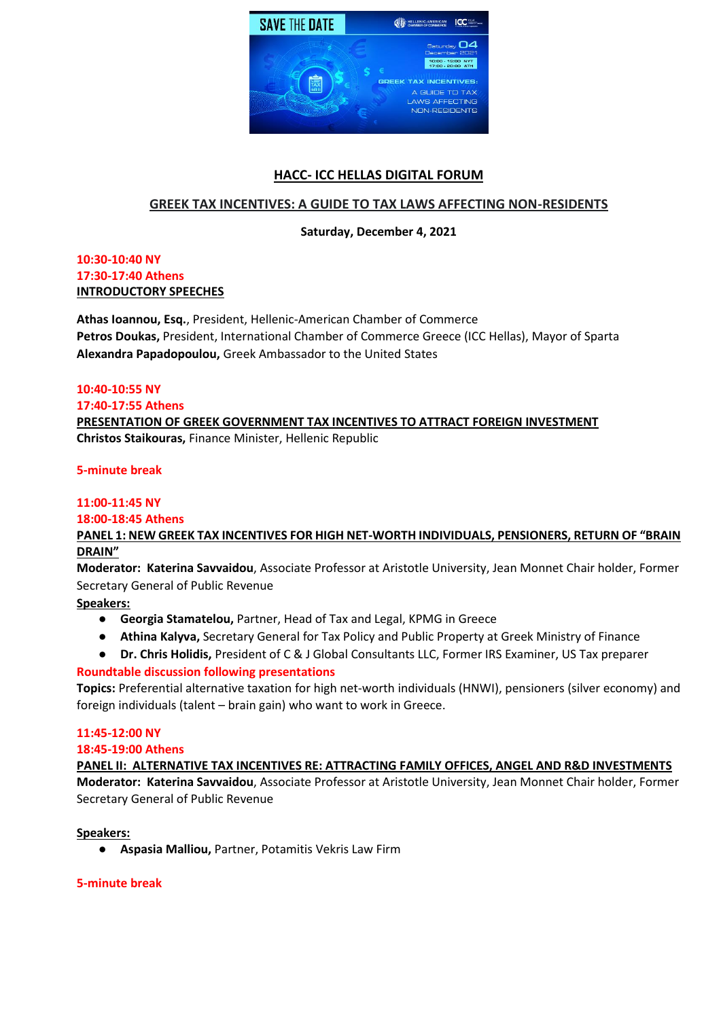

# **HACC- ICC HELLAS DIGITAL FORUM**

## **GREEK TAX INCENTIVES: A GUIDE TO TAX LAWS AFFECTING NON-RESIDENTS**

### **Saturday, December 4, 2021**

## **10:30-10:40 NY 17:30-17:40 Athens INTRODUCTORY SPEECHES**

**Athas Ioannou, Esq.**, President, Hellenic-American Chamber of Commerce **Petros Doukas,** President, International Chamber of Commerce Greece (ICC Hellas), Mayor of Sparta **Alexandra Papadopoulou,** Greek Ambassador to the United States

### **10:40-10:55 NY**

**17:40-17:55 Athens PRESENTATION OF GREEK GOVERNMENT TAX INCENTIVES TO ATTRACT FOREIGN INVESTMENT Christos Staikouras,** Finance Minister, Hellenic Republic

#### **5-minute break**

### **11:00-11:45 NY**

### **18:00-18:45 Athens**

**PANEL 1: NEW GREEK TAX INCENTIVES FOR HIGH NET-WORTH INDIVIDUALS, PENSIONERS, RETURN OF "BRAIN DRAIN"**

**Moderator: Katerina Savvaidou**, Associate Professor at Aristotle University, Jean Monnet Chair holder, Former Secretary General of Public Revenue

### **Speakers:**

- **Georgia Stamatelou,** Partner, Head of Tax and Legal, KPMG in Greece
- **Athina Kalyva,** Secretary General for Tax Policy and Public Property at Greek Ministry of Finance
- **Dr. Chris Holidis,** President of C & J Global Consultants LLC, Former IRS Examiner, US Tax preparer **Roundtable discussion following presentations**

**Topics:** Preferential alternative taxation for high net-worth individuals (HNWI), pensioners (silver economy) and foreign individuals (talent – brain gain) who want to work in Greece.

#### **11:45-12:00 NY**

#### **18:45-19:00 Athens**

**PANEL II: ALTERNATIVE TAX INCENTIVES RE: ATTRACTING FAMILY OFFICES, ANGEL AND R&D INVESTMENTS Moderator: Katerina Savvaidou**, Associate Professor at Aristotle University, Jean Monnet Chair holder, Former Secretary General of Public Revenue

### **Speakers:**

● **Aspasia Malliou,** Partner, Potamitis Vekris Law Firm

### **5-minute break**